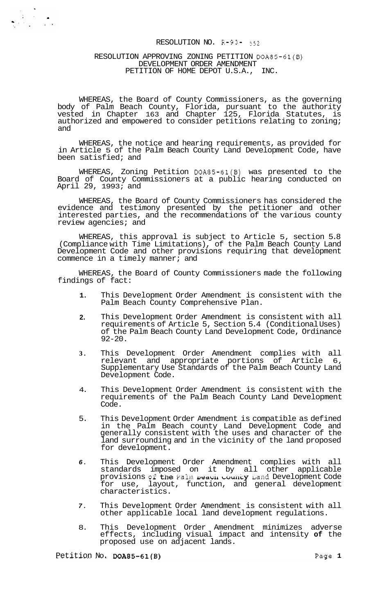#### RESOLUTION NO. R-93- *<sup>552</sup>*

#### RESOLUTION APPROVING ZONING PETITION DOA85-61(B) DEVELOPMENT ORDER AMENDMENT<br>ITTION OF HOME DEPOTILS A PETITION OF HOME DEPOT U.S.A.,

WHEREAS, the Board of County Commissioners, as the governing body of Palm Beach County, Florida, pursuant to the authority vested in Chapter 163 and Chapter 125, Florida Statutes, is authorized and empowered to consider petitions relating to zoning; and

WHEREAS, the notice and hearing requirements, as provided for in Article 5 of the Palm Beach County Land Development Code, have been satisfied; and

WHEREAS, Zoning Petition DOA85-61(B) was presented to the Board of County Commissioners at a public hearing conducted on April 29, 1993; and

WHEREAS, the Board of County Commissioners has considered the evidence and testimony presented by the petitioner and other interested parties, and the recommendations of the various county review agencies; and

WHEREAS, this approval is subject to Article 5, section 5.8 (Compliance with Time Limitations), of the Palm Beach County Land Development Code and other provisions requiring that development commence in a timely manner; and

WHEREAS, the Board of County Commissioners made the following findings of fact:

- **1.**  This Development Order Amendment is consistent with the Palm Beach County Comprehensive Plan.
- **2.**  This Development Order Amendment is consistent with all requirements of Article 5, Section 5.4 (Conditional Uses) of the Palm Beach County Land Development Code, Ordinance 92-20.
- **3.**  This Development Order Amendment complies with all relevant and appropriate portions of Article 6, Supplementary Use Standards of the Palm Beach County Land Development Code.
- 4. This Development Order Amendment is consistent with the requirements of the Palm Beach County Land Development Code.
- 5. This Development Order Amendment is compatible as defined in the Palm Beach county Land Development Code and generally consistent with the uses and character of the land surrounding and in the vicinity of the land proposed for development.
- *6.*  This Development Order Amendment complies with all standards imposed on it by all other applicable provisions of the Palm **Deach County** Land Development Code for use, layout, function, and general development characteristics.
- *7.*  This Development Order Amendment is consistent with all other applicable local land development regulations.
- 8. This Development Order Amendment minimizes adverse effects, including visual impact and intensity **of** the proposed use on adjacent lands.

Petition No. **DOA85-61(B)** Page 1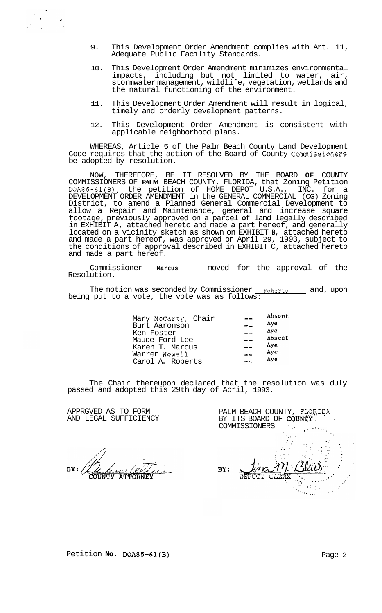- 9. This Development Order Amendment complies with Art. 11, Adequate Public Facility Standards.
- 10. This Development Order Amendment minimizes environmental impacts, including but not limited to water, air, stormwater management, wildlife, vegetation, wetlands and the natural functioning of the environment.
- 11. This Development Order Amendment will result in logical, timely and orderly development patterns.
- 12. This Development Order Amendment is consistent with applicable neighborhood plans.

WHEREAS, Article 5 of the Palm Beach County Land Development Code requires that the action of the Board of County Commissioners be adopted by resolution.

NOW, THEREFORE, BE IT RESOLVED BY THE BOARD **OF** COUNTY COMMISSIONERS OF **PALM** BEACH COUNTY, FLORIDA, that Zoning Petition DOA85-61(B), the petition of HOME DEPOT U.S.A., INC. for a DEVELOPMENT ORDER AMENDMENT in the GENERAL COMMERCIAL (CG) Zoning District, to amend a Planned General Commercial Development to allow a Repair and Maintenance, general and increase square footage, previously approved on a parcel **of** land legally described in EXHIBIT A, attached hereto and made a part hereof, and generally located on a vicinity sketch as shown on EXHIBIT **B,** attached hereto and made a part hereof, was approved on April 29, 1993, subject to the conditions of approval described in EXHIBIT C, attached hereto and made a part hereof.

Commissioner **Marcus** moved for the approval of the Resolution.

The motion was seconded by Commissioner <u>Roberts and</u>, upon being put to a vote, the vote was as follows:  $\overline{\phantom{a}}$ 

| Mary McCarty, Chair | Absent |
|---------------------|--------|
| Burt Aaronson       | Aye    |
| Ken Foster          | Aye    |
| Maude Ford Lee      | Absent |
| Karen T. Marcus     | Aye    |
| Warren Newell       | Aye    |
| Carol A. Roberts    | Aye    |
|                     |        |

The Chair thereupon declared that the resolution was duly passed and adopted this 29th day of April, 1993.

APPRGVED AS TO FORM AND LEGAL SUFFICIENCY

**ATTORNEY** 

PALM BEACH COUNTY, FLORIDA BY ITS BOARD OF COUNTY  $\mathcal{L}^{\text{max}}_{\text{max}}$ COMMISSIONERS **\*I.\*-''.,**  .. BY: DEP

Petition **No. DOA85-61(B)** Page 2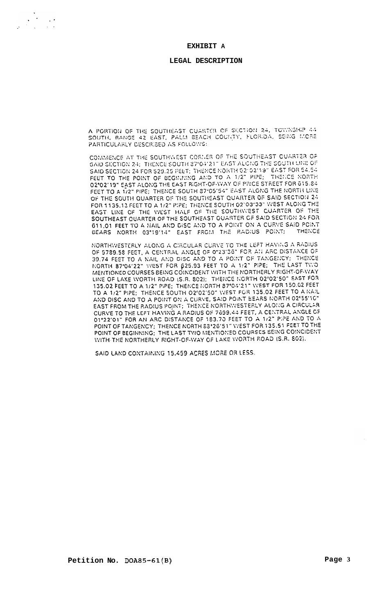**EXHIBIT A** 

#### **LEGAL DESCRIPTION**

A PORTION OF THE SOUTHEAST CUARTER OF SICTION 24, TOWNSHIP 44 SOUTH, RANGE 42 EAST, PALM BEACH COUNTY, FLORIDA, BEING MORE PARTICULARLY DESCRIBED AS FOLLOWS:

COMMENCE AT THE SOUTHWEST CORNER OF THE SOUTHEAST CUARTER OF SAID SECTION 24: THENCE SOUTH 87°04'21" EAST ALCNG THE SOUTH LINE OF SAID SECTION 24 FOR \$29.25 FEET; THENCE NORTH 02102119" EAST FOR \$4.54 SAID SECTION 24 FOR \$29.25 FEET; THEMEE NONTH 02 02 TO EAST FON SECTION THE POINT OF BEGINNING AND TO A 1/2" PIPE; THEMEE NORTH. 02°02'19" EAST ALONG THE EAST RIGHT-OF-WAY OF PRICE STREET FOR 615.84 FEET TO A 1/2" PIPE; THENCE SOUTH 87°05'54" EAST ALONG THE NORTH LINE OF THE SOUTH QUARTER OF THE SOUTHEAST QUARTER OF SAID SECTION 24 FOR 1135.13 FEET TO A 1/2" PIPE; THENCE SOUTH 02"03"33" WEST ALONG THE EAST LINE OF THE WEST HALF OF THE SOUTHWEST QUARTER OF THE SOUTHEAST QUARTER OF THE SOUTHEAST QUARTER OF SAID SECTION 24 FOR 611.01 FEET TO A NAIL AND DISC AND TO A POINT ON A CURVE SAID POINT BEARS NORTH 03°19'14" EAST FROM THE RADIUS POINT; THENCE

MORTHWESTERLY ALONG A CIRCULAR CURVE TO THE LEFT HAVING A RADIUS OF 5789.58 FEET, A CENTRAL ANGLE OF 0"23'36" FOR AN ARC DISTANCE OF 39.74 FEET TO A NAIL AND DISC AND TO A POINT OF TANGENCY: THENCE NORTH 87°04'22" WEST FOR \$25.93 FEET TO A 1/2" PIPE; THE LAST TWO MENTIONED COURSES BEING COINCIDENT WITH THE NORTHERLY RIGHT-OF-WAY LINE OF LAKE WORTH ROAD (S.R. 802); THENCE MORTH 02'02'50" EAST FOR 135.02 FEET TO A 1/2" PIPE: THENCE MORTH 87°04'21" WEST FOR 150.02 FEET TO A 1/2" PIPE; THENCE SOUTH 02'02'50" WEST FOR 135.02 FEET TO A IVAIL AND DISC AND TO A POINT ON A CURVE, SAID POINT BEARS NORTH 02'55'10" EAST FROM THE RADIUS POINT; THENCE NORTHWESTERLY ALONG A CIRCULAR CURVE TO THE LEFT HAVING A RADIUS OF 7699.44 FEET, A CENTRAL ANGLE OF 01°22'01" FOR AN ARC DISTANCE OF 183.70 FEET TO A 1/2" PIPE AND TO A POINT OF TANGENCY; THENCE NORTH 83°26'51" WEST FOR 135.51 FEET TO THE POINT OF TANGENCT: THE LAST TWO MENTIONED COURSES BEING COINCIDENT WITH THE NORTHERLY RIGHT-OF-WAY OF LAKE WORTH ROAD (S.R. 802).

SAID LAND CONTAINING 15.459 ACRES MORE OR LESS.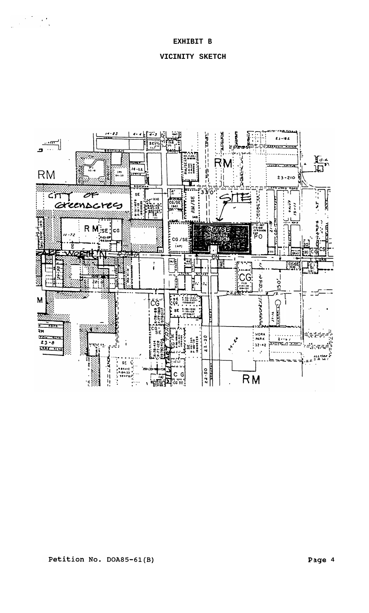$\label{eq:2.1} \frac{1}{\sqrt{2\pi}}\left(\frac{1}{\sqrt{2\pi}}\right)^{2/3}\frac{1}{\sqrt{2\pi}}\left(\frac{1}{\sqrt{2\pi}}\right)^{2/3}$ 

# **VICINITY SKETCH**

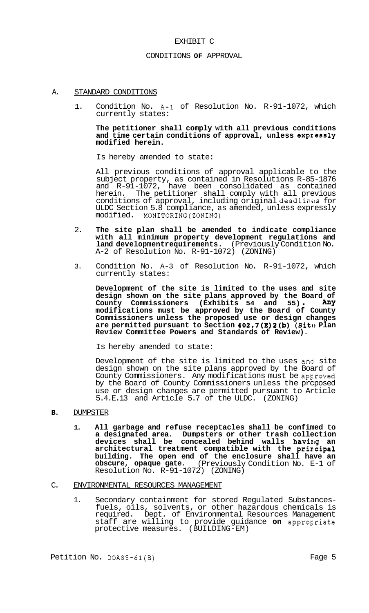#### EXHIBIT C

#### CONDITIONS **OF** APPROVAL

#### A. STANDARD CONDITIONS

1. Condition No. A-1 of Resolution No. R-91-1072, which currently states:

## **The petitioner shall comply with all previous conditions and time certain conditions of approval, unless expzessly modified herein.**

Is hereby amended to state:

All previous conditions of approval applicable to the subject property, as contained in Resolutions R-85-1876 and R-91-1072, have been consolidated as contained herein. The petitioner shall comply with all previous conditions of approval, including original deadlincs for ULDC Section 5.8 compliance, as amended, unless expressly modified. MONITORING(ZON1NG)

- 2. **The site plan shall be amended to indicate compliance with all minimum property development regulations and land developmentrequirements.** (Previously Condition No. A-2 of Resolution No. R-91-1072) (ZONING)
- 3. Condition No. A-3 of Resolution No. R-91-1072, which currently states:

**Development of the site is limited to the uses and site design shown on the site plans approved by the Board of**  design shown on the site plans approved by the Board of County Commissioners (Exhibits 54 and 55). Any **modifications must be approved by the Board of County Commissioners unless the proposed use or design changes**  are permitted pursuant to Section 402.7(E)2(b) (Site Plan **Review Committee Powers and Standards of Review).** 

Is hereby amended to state:

Development of the site is limited to the uses and site design shown on the site plans approved by the Board of County Commissioners. Any modifications must be approved by the Board of County Commissioners unless the prcposed use or design changes are permitted pursuant to Article 5.4.E.13 and Article 5.7 of the ULDC. (ZONING)

### **B.** DUMPSTER

**1. All garbage and refuse receptacles shall be confimed to a designated area. Dumpsters or other trash collection devices shall be concealed behind walls having an architectural treatment compatible with the principal building. The open end of the enclosure shall have an obscure, opaque gate.** (Previously Condition No. E-1 of Resolution No. R-91-1072) (ZONING)

#### C. ENVIRONMENTAL RESOURCES MANAGEMENT

1. Secondary containment for stored Regulated Substances- fuels, oils, solvents, or other hazardous chemicals is required. Dept. of Environmental Resources Management staff are willing to provide guidance on approgriate protective measures. (BUILDING-EM)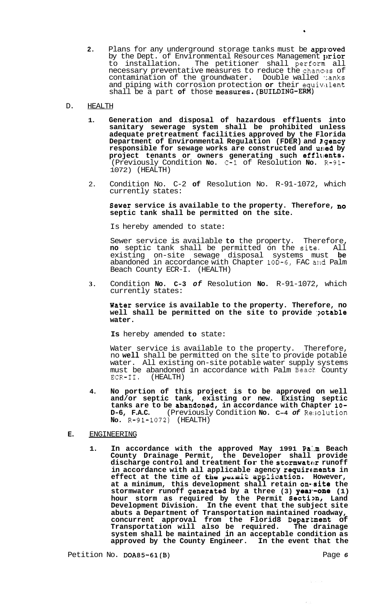2. Plans for any underground storage tanks must be approved by the Dept. of Environmental Resources Management  $prior$ to installation. The petitioner shall perform all necessary preventative measures to reduce the chances of contamination of the groundwater. Double walled tanks and piping with corrosion protection or their equivalent shall be a part **of** those measures.(BUILDING-EM)

## D. HEALTH

- **1. Generation and disposal of hazardous effluents into sanitary sewerage system shall be prohibited unless adequate pretreatment facilities approved by the Florida Department of Environmental Regulation (FDER) and 19.gency responsible for sewage works are constructed and utled by**  project tenants or owners generating such effluents. (Previously Condition **No.** C-1 of Resolution **No.** R-91- 1072) (HEALTH)
- 2. Condition No. C-2 **of** Resolution No. R-91-1072, which currently states:

### **Sewer service is available to the property. Therefore, no septic tank shall be permitted on the site.**

Is hereby amended to state:

Sewer service is available **to** the property. Therefore, **no** septic tank shall be permitted on the site4 All existing on-site sewage disposal systems must **be**  abandoned in accordance with Chapter 100-6, FAC and Palm Beach County ECR-I. (HEALTH)

**3.** Condition **No. C-3** *of* Resolution **No.** R-91-1072, which currently states:

### **Water service is available to the property. Therefore, no**  well shall be permitted on the site to provide potable **water.**

**Is** hereby amended **to** state:

Water service is available to the property. Therefore, no **well** shall be permitted on the site to provide potable water. All existing on-site potable water supply systems must be abandoned in accordance with Palm Beach County ECR-II. (HEALTH)  $ECR-II.$ 

**4. No portion of this project is to be approved on well and/or septic tank, existing or new. Existing septic tanks are to be abandoned, in accordance with Chapter 10- D-6, F.A.C.** (Previously Condition **No. C-4** *of* Re:;olution **D-6, F.A.C.** (Previousl<sub>)</sub><br>No. **R-91-1072)** (HEALTH)

# **E.** ENGINEERING

**1. In accordance with the approved May 1991 Pa:.m Beach County Drainage Permit, the Developer shall provide**  discharge control and treatment for the stormwater runoff in accordance with all applicable agency requirements in effect at the time of the permit application. However, at a minimum, this development shall retain on-site the stormwater runoff generated by a three (3) yea<sup>1-one</sup> (1) **hour storm as required by the Permit Sectim, Land Development Division. In the event that the subject site abuts a Department of Transportation maintained roadway,**  concurrent approval from the Florid8 Department of **Transportation will also be required. The drainage system shall be maintained in an acceptable condition as approved by the County Engineer. In the event that the** 

Petition No. **DOA85-61(B)** Page *6* 

 $\Delta \sim 10^{-1}$  k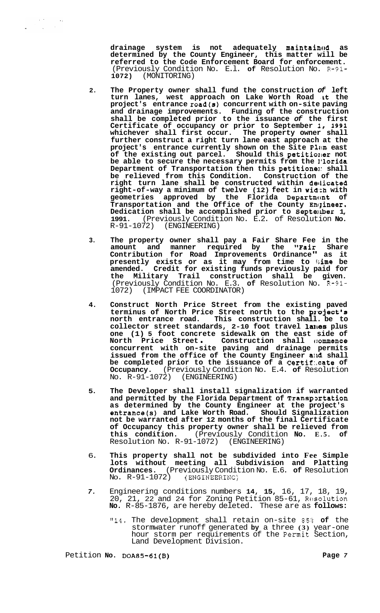drainage system is not adequately maintain<sup>0</sup> as **determined by the County Engineer, this matter will be referred to the Code Enforcement Board for enforcement.**  (Previously Condition No. E.l. **of** Resolution No. R-91- **1072)** (MONITORING)

- **2. The Property owner shall fund the construction** *of* **left**  turn lanes, west approach on Lake Worth Road at the **project's entrance road(s) concurrent with on-site paving and drainage improvements. Funding of the construction shall be completed prior to the issuance** *of* **the first Certificate of occupancy or prior to September I, 1991 whichever shall first occur. The property owner shall further construct a right turn lane east approach at the**  project's entrance currently shown on the Site Plan east of the existing out parcel. Should this petitioner not **be able to secure the necessary permits from the l'lorida Department of Transportation then this petitionel: shall be relieved from this Condition. Construction of the right turn lane shall be constructed within detlicated right-of-way a minimum of twelve (12) feet in wid,ch with**  geometries approved by the Florida Department of Transportation and the Office of the County Engineer. **Dedication shall be accomplished prior to Septenber 1, 1991.** (Previously Condition No. E.2. of Resolution **No.**  (ENGINEERING)
- **3. The property owner shall pay a Fair Share Fee in the amount and manner required by the ''Fair Share Contribution for Road Improvements Ordinance" as it presently exists or as it may from time to kime be amended. Credit for existing funds previously paid for the Military Trail construction shall be given.**  (Previously Condition No. E.3. **of** Resolution No. R-91- 1072) (IMPACT FEE COORDINATOR)
- **4. Construct North Price Street from the existing paved**  terminus of North Price Street north to the project's **north entrance road. This construction shall. be to**  collector street standards, 2-10 foot travel lanes plus **one (1) 5 foot concrete sidewalk on the east side of North Price Street** . **Construction shall c:ommence concurrent with on-site paving and drainage permits issued from the office of the County Engineer alrd shall be completed prior to the issuance of a Certif:.cate of Occupancy.** (Previously Condition No. E.4. **of** Resolution  $No. R-91-1072)$
- **5. The Developer shall install signalization if warranted and permitted by the Florida Department of Transpartation as determined by the County Engineer at the project's entrancets) and Lake Worth Road. Should Signalization not be warranted after 12 months of the final Certificate of Occupancy this property owner shall be relieved from this condition.** (Previously Condition **No. E.5. of**  Resolution No.  $R-91-1072$ )
- 6. **This property shall not be subdivided into Fee Simple lots without meeting all Subdivision and Platting Ordinances.** (Previously Condition No. E.6. **of** Resolution No.  $R-91-1072$ ) (ENGINEERINC)
- *7.* Engineering conditions numbers **14, 15,** 16, 17, 18, 19, 20, 21, 22 and 24 for Zoning Petition 85-61, Resolution **No.** R-85-1876, are hereby deleted. These are as **follows:** 
	- **"14.** The development shall retain on-site 85:t **of** the stormwater runoff generated **by** a three **(3)** year-one hour storm per requirements of the Permit Section, Land Development Division.

Petition **No. DOA85-61(B)** Page 7

 $\Delta \sim 10^4$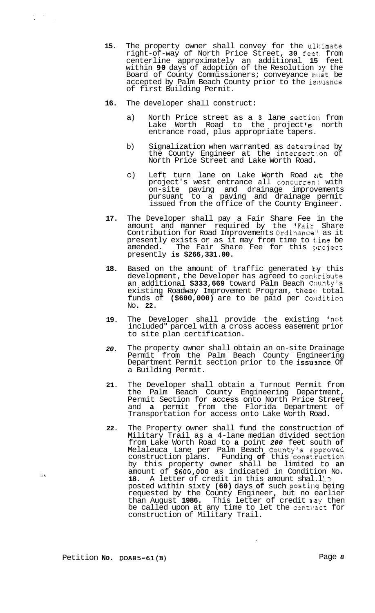- **16.**  The developer shall construct:
	- a) North Price street as a **3** lane sectioil from Lake Worth Road to the project **Is** north entrance road, plus appropriate tapers.
	- b) Signalization when warranted as determined by the County Engineer at the intersect:.on of North Price Street and Lake Worth Road.
	- c) Left turn lane on Lake Worth Road  $i$ t the project's west entrance all concurren: with on-site paving and drainage improvements pursuant to a paving and drainage permit issued from the office of the County Engineer.
- **17.**  The Developer shall pay a Fair Share Fee in the amount and manner required by the "Fair Share Contribution for Road Improvements Ordinance'' as it presently exists or as it may from time to t.ime be amended. The Fair Share Fee for this project presently **is \$266,331.00.**
- **18.**  Based on the amount of traffic generated  $ky$  this development, the Developer has agreed to contribute an additional **\$333,669** toward Palm Beach County's existing Roadway Improvement Program, these total funds of (\$600,000) are to be paid per Condition No. **22.**
- **19.**  The Developer shall provide the existing "not included" parcel with a cross access easement prior to site plan certification.
- *20.*  The property owner shall obtain an on-site Drainage Permit from the Palm Beach County Engineering Department Permit section prior to the issuance Of a Building Permit.
- **21.**  The Developer shall obtain a Turnout Permit from the Palm Beach County Engineering Department, Permit Section for access onto North Price Street and **a** permit from the Florida Department of Transportation for access onto Lake Worth Road.
- **22.**  The Property owner shall fund the construction of Military Trail as a 4-lane median divided section from Lake Worth Road to **a** point *200* feet south **of**  Melaleuca Lane per Palm Beach County's epproved construction plans. Funding **of** this const.ruction by this property owner shall be limited to **an**  amount of **\$60G,000** as indicated in Condition No. 18. A letter of credit in this amount shal.l. posted within sixty (60) days of such posting being requested by the County Engineer, but no earlier than August 1986. This letter of credit may then be called upon at any time to let the contnact for construction of Military Trail.

 $\frac{1}{2}$  ,  $\frac{1}{2}$  ,  $\frac{1}{2}$ 

 $\mathcal{L}_{\rm{in}}$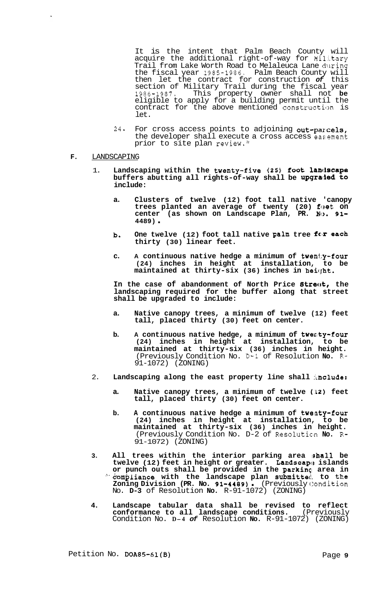It is the intent that Palm Beach County will acquire the additional right-of-way for  $M_1$ litary Trail from Lake Worth Road to Melaleuca Lane during the fiscal year 1985-1986. Palm Beach County will then let the contract for construction *of* this section of Military Trail during the fiscal year 1986-1987. This property owner shall not **be**  eligible to apply for a building permit until the contract for the above mentioned construction is let.

- $24$ . For cross access points to adjoining out-parcels, the developer shall execute a cross access easement prior to site plan review."
- **F.** LANDSCAPING
	- 1. Landscaping within the twenty-five (25) foot landscape buffers abutting all rights-of-way shall be upgraded to **include:** 
		- **a. Clusters of twelve (12) foot tall native 'canopy**  trees planted an average of twenty (20) f**et** on **center (as shown on Landscape Plan, PR. No. 91- 4489)** .
		- **b.** One twelve (12) foot tall native palm tree for each **thirty (30) linear feet.**
		- **c. A continuous native hedge a minimum of twenty-four (24) inches in height at installation, to be maintained at thirty-six (36) inches in heiqht.**

In the case of abandonment of North Price Street, the **landscaping required for the buffer along that street shall be upgraded to include:** 

- **a. Native canopy trees, a minimum of twelve (12) feet tall, placed thirty (30) feet on center.**
- **b.** A continuous native hedge, a minimum of twenty-four **(24) inches in height at installation, to be maintained at thirty-six (36) inches in height.**  (Previously Condition No. D-1 of Resolution **No.** R-91-1072) (ZONING)
- 2. Landscaping along the east property line shall include:
	- **a. Native canopy trees, a minimum of twelve (:12) feet tall, placed thirty (30) feet on center.**
	- **b. A continuous native hedge a minimum of twenty-four (24) inches in height at installation, to be maintained at thirty-six (36) inches in height.**  (Previously Condition No. D-2 of Resolutim **No. R-**91-1072) (ZONING)
- **3. All trees within the interior parking area ;shall be**  twelve (12) feet in height or greater. Landscap<sup>®</sup> islands or punch outs shall be provided in the **parkin**g area in -" **&amj?'liance with the landscape plan submitted!, to the Zoning Division (PR. No. 91-4489)** . (Previously c'!ondition No. **D-3** of Resolution **No.** R-91-1072) (ZONING)
- **4. Landscape tabular data shall be revised to reflect conformance to all landscape conditions.** (Previously Condition No. **D-4** *of* Resolution **No.** R-91-1072) (ZONING)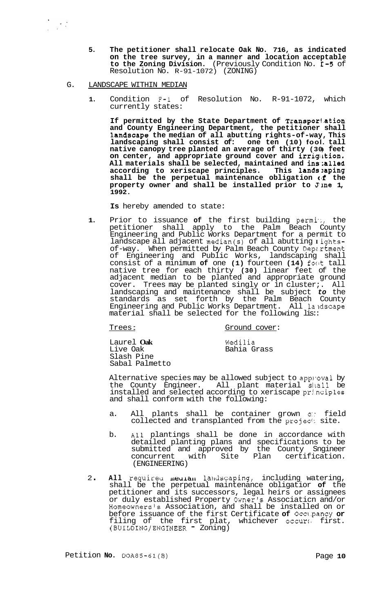**5. The petitioner shall relocate Oak No. 716, as indicated on the tree survey, in a manner and location acceptable to the Zoning Division.** (Previously Condition No. E-5 of Resolution No. R-91-1072) (ZONING)

#### G. LANDSCAPE WITHIN MEDIAN

**1.** Condition **F-1** of Resolution No. R-91-1072, which currently states:

**If permitted by the State Department of Transporl.ation and County Engineering Department, the petitioner shall**  landscape the median of all abutting rights-of-way, This **landscaping shall consist of: one ten (10) fool. tall native canopy tree planted an average of thirty (30** ) **feet**  on center, and appropriate ground cover and irrigution. All materials shall be selected, maintained and ins;alled **according to xeriscape principles. This 1ands:aping**  shall be the perpetual maintenance obligation (if the **property owner and shall be installed prior to Jine 1, 1992.** 

**Is** hereby amended to state:

**1.** Prior to issuance **of** the first building permit, the petitioner shall apply to the Palm Beach County Engineering and Public Works Department for a permit to landscape all adjacent median(s) of all abutting **I** ightsof-way. When permitted by Palm Beach County Depzrtment of Engineering and Public Works, landscaping shall consist of a minimum **of** one **(1)** fourteen **(14)** foot tall native tree for each thirty **(30)** linear feet of the adjacent median to be planted and appropriate ground cover. Trees may be planted singly or in cluster;. All landscaping and maintenance shall be subject *to* the standards as set forth by the Palm Beach County Engineering and Public Works Department. All laldscape material shall be selected for the following lis::

Trees : Ground cover:

Laurel **Oak**  Live Oak Slash Pine Sabal Palmetto

Wedilia Bahia Grass

Alternative species may be allowed subject to apploval by the County Engineer. All plant material shall be All plant material shall be installed and selected according to xeriscape principles and shall conform with the following:

- a. All plants shall be container grown or field collected and transplanted from the projed: site.
- b. All plantings shall be done in accordance with detailed planting plans and specifications to be submitted and approved by the County Sngineer concurrent with Site Plan certification. (ENGINEERING)
- 2. All required meulan landscaping, including watering, shall be the perpetual maintenance obligatior **of** the petitioner and its successors, legal heirs or assignees or duly established Property Owner's Associaticn and/or Homeowners's Association, and shall be installed on or before issuance of the first Certificate **of** Occ1.pancy **or**  filing of the first plat, whichever occurs first. (BUILDING/ENGINEER - Zoning)

Petition **No.** DOA85-61(B) Page **10**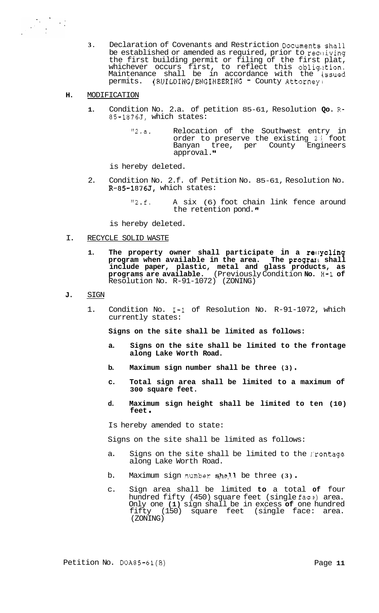- **3.** Declaration of Covenants and Restriction Documents shall be established or amended as required, prior to  $rec$ . iving the first building permit or filing of the first plat, whichever occurs first, to reflect this obligition. Maintenance shall be in accordance with the issued<br>permits. (BUILDING/ENGINEERING - County-Attorney)
- **H.** MODIFICATION

- **1.** Condition No. 2.a. of petition 85-61, Resolution **Qo.** R-85-1876J, which states:
	- "2.a. Relocation of the Southwest entry in order to preserve the existing 2.5 foot Banyan tree, per County Engineers approval. **It**

is hereby deleted.

- 2. Condition No. 2.f. of Petition No. 85-61, Resolution No. R-85-1876J, which states:
	- "2, f. A six (6) foot chain link fence around the retention pond."

is hereby deleted.

- I. RECYCLE SOLID WASTE
	- **1. The property owner shall participate in a rec:ycling program when available in the area. The prograi shall include paper, plastic, metal and glass products, as programs are available.** (Previously Condition **No.** H-1 **of**  Resolution No. R-91-1072) (ZONING)
- **J.** SIGN
	- 1. Condition No. 1-1 of Resolution No. R-91-1072, which currently states:

**Signs on the site shall be limited as follows:** 

- **a. Signs on the site shall be limited to the frontage along Lake Worth Road.**
- **b. Maximum sign number shall be three (3).**
- **c. Total sign area shall be limited to a maximum of 300 square feet.**
- **d. Maximum sign height shall be limited to ten (10) feet** .

Is hereby amended to state:

Signs on the site shall be limited as follows:

- a. Signs on the site shall be limited to the frontage along Lake Worth Road.
- b. Maximum sign number shall be three (3).
- c. Sign area shall be limited **to** a total **of** four hundred fifty (450) square feet (single face) area. Only one **(1)** sign shall be in excess **of** one hundred fifty (150) square feet (single face: area. (ZONING)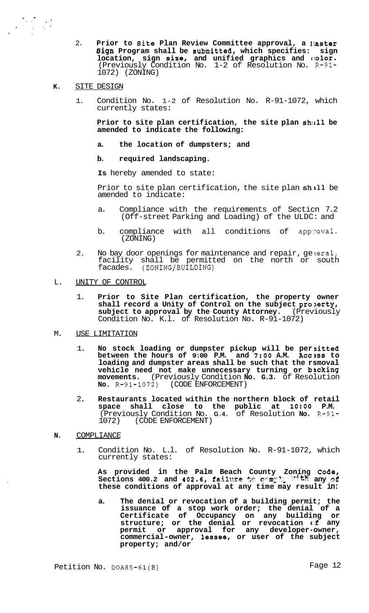- 2. **Prior to Site Plan Review Committee approval, a laster Sign Program shall be Submitted, which specifies: sign location, sign size, and unified graphics and**  $\theta$ **olor.** (Previously Condition No. 1-2 of Resolution No. R-91- 1072) (ZONING)
- **K.** SITE DESIGN

1. Condition No. 1-2 of Resolution No. R-91-1072, which currently states:

Prior to site plan certification, the site plan shall be **amended to indicate the following:** 

- **a. the location of dumpsters; and**
- **b. required landscaping.**

**Is** hereby amended to state:

Prior to site plan certification, the site plan shill be amended to indicate:

- a. Compliance with the requirements of Secticn 7.2 (Off-street Parking and Loading) of the ULDC: and
- b. compliance with all conditions of app:roval. (ZONING)
- 2. No bay door openings for maintenance and repair, general, facility shall be permitted on the north or south facades. (ZONING/BUILDING)
- L. UNITY OF CONTROL
	- 1. **Prior to Site Plan certification, the property owner shall record a Unity of Control on the subject pro?erty,**  subject to approval by the County Attorney. (Previously Condition No. K.l. of Resolution No. R-91-1072)
- M. USE LIMITATION
	- 1. **No stock loading or dumpster pickup will be per nitted between the hours of 9:00 P.M. and** *7:OO* **A.M. Accsss to loading and dumpster areas shall be such that the rsmoval vehicle need not make unnecessary turning or bscking movements.** (Previously Condition **No. G.3.** of Resolution **No.** R-91-1072) (CODE ENFORCEMENT)
	- 2. **Restaurants located within the northern block of retail space shall close to the public at 1O:OO P.M.**  (Previously Condition No. **G.4.** of Resolution **No.** R-91- 1072) (CODE ENFORCEMENT)
- **N.** COMPLIANCE
	- 1. Condition No. L.l. of Resolution No. R-91-1072, which currently states:

**As provided in the Palm Beach County Zoning code, Sections 400.2 and 402.6, failme** !x: **c~~,rny~., any of these conditions of approval at any time may result in:** 

**a. The denial or revocation of a building permit; the issuance of a stop work order; the denial of a Certificate of Occupancy on any building or structure; or the denial or revocation c'f any permit or approval for any developer-owner, commercial-owner, lessee, or user of the subject property; and/or**